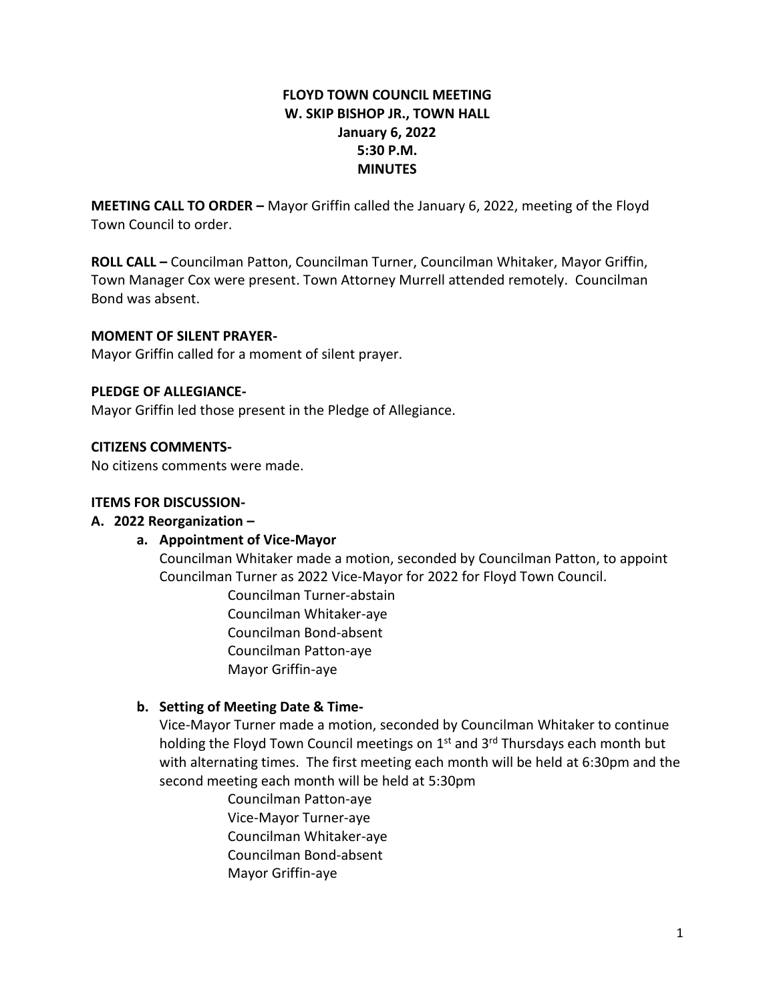## **FLOYD TOWN COUNCIL MEETING W. SKIP BISHOP JR., TOWN HALL January 6, 2022 5:30 P.M. MINUTES**

**MEETING CALL TO ORDER –** Mayor Griffin called the January 6, 2022, meeting of the Floyd Town Council to order.

**ROLL CALL –** Councilman Patton, Councilman Turner, Councilman Whitaker, Mayor Griffin, Town Manager Cox were present. Town Attorney Murrell attended remotely. Councilman Bond was absent.

### **MOMENT OF SILENT PRAYER-**

Mayor Griffin called for a moment of silent prayer.

### **PLEDGE OF ALLEGIANCE-**

Mayor Griffin led those present in the Pledge of Allegiance.

#### **CITIZENS COMMENTS-**

No citizens comments were made.

#### **ITEMS FOR DISCUSSION-**

### **A. 2022 Reorganization –**

### **a. Appointment of Vice-Mayor**

Councilman Whitaker made a motion, seconded by Councilman Patton, to appoint Councilman Turner as 2022 Vice-Mayor for 2022 for Floyd Town Council.

> Councilman Turner-abstain Councilman Whitaker-aye Councilman Bond-absent Councilman Patton-aye Mayor Griffin-aye

### **b. Setting of Meeting Date & Time-**

Vice-Mayor Turner made a motion, seconded by Councilman Whitaker to continue holding the Floyd Town Council meetings on  $1<sup>st</sup>$  and  $3<sup>rd</sup>$  Thursdays each month but with alternating times. The first meeting each month will be held at 6:30pm and the second meeting each month will be held at 5:30pm

Councilman Patton-aye Vice-Mayor Turner-aye Councilman Whitaker-aye Councilman Bond-absent Mayor Griffin-aye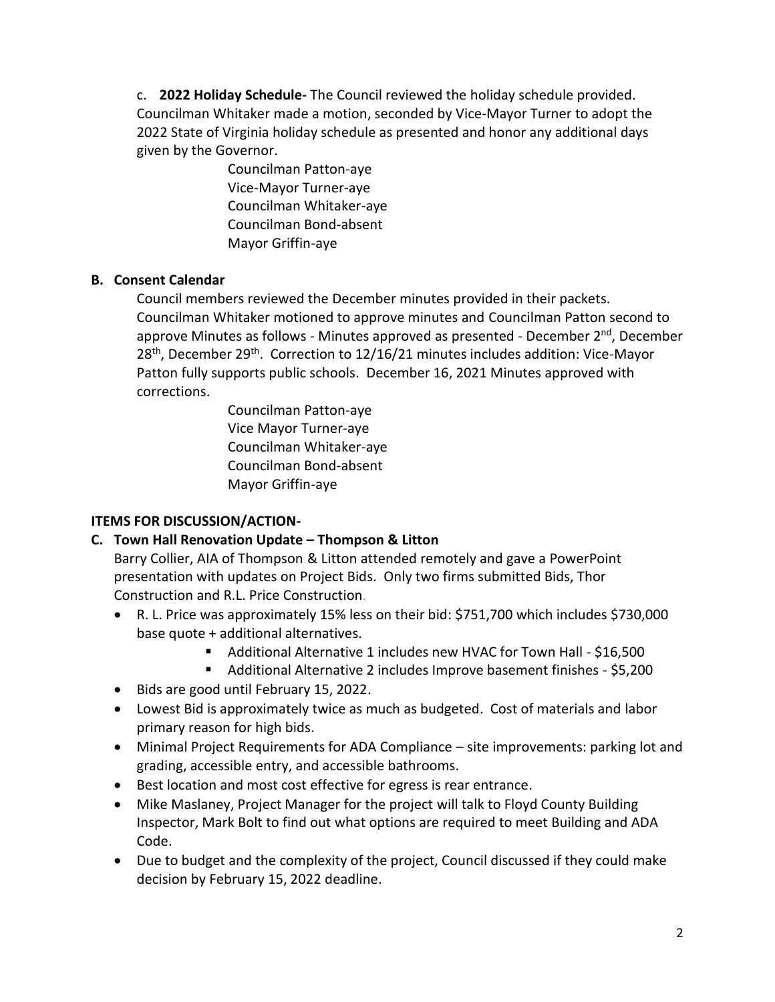c. **2022 Holiday Schedule-** The Council reviewed the holiday schedule provided. Councilman Whitaker made a motion, seconded by Vice-Mayor Turner to adopt the 2022 State of Virginia holiday schedule as presented and honor any additional days given by the Governor.

> Councilman Patton-aye Vice-Mayor Turner-aye Councilman Whitaker-aye Councilman Bond-absent Mayor Griffin-aye

## **B. Consent Calendar**

Council members reviewed the December minutes provided in their packets. Councilman Whitaker motioned to approve minutes and Councilman Patton second to approve Minutes as follows - Minutes approved as presented - December  $2^{nd}$ , December 28<sup>th</sup>, December 29<sup>th</sup>. Correction to 12/16/21 minutes includes addition: Vice-Mayor Patton fully supports public schools. December 16, 2021 Minutes approved with corrections.

> Councilman Patton-aye Vice Mayor Turner-aye Councilman Whitaker-aye Councilman Bond-absent Mayor Griffin-aye

# **ITEMS FOR DISCUSSION/ACTION-**

# **C. Town Hall Renovation Update – Thompson & Litton**

Barry Collier, AIA of Thompson & Litton attended remotely and gave a PowerPoint presentation with updates on Project Bids. Only two firms submitted Bids, Thor Construction and R.L. Price Construction.

- R. L. Price was approximately 15% less on their bid: \$751,700 which includes \$730,000 base quote + additional alternatives.
	- Additional Alternative 1 includes new HVAC for Town Hall \$16,500
	- Additional Alternative 2 includes Improve basement finishes \$5,200
- Bids are good until February 15, 2022.
- Lowest Bid is approximately twice as much as budgeted. Cost of materials and labor primary reason for high bids.
- Minimal Project Requirements for ADA Compliance site improvements: parking lot and grading, accessible entry, and accessible bathrooms.
- Best location and most cost effective for egress is rear entrance.
- Mike Maslaney, Project Manager for the project will talk to Floyd County Building Inspector, Mark Bolt to find out what options are required to meet Building and ADA Code.
- Due to budget and the complexity of the project, Council discussed if they could make decision by February 15, 2022 deadline.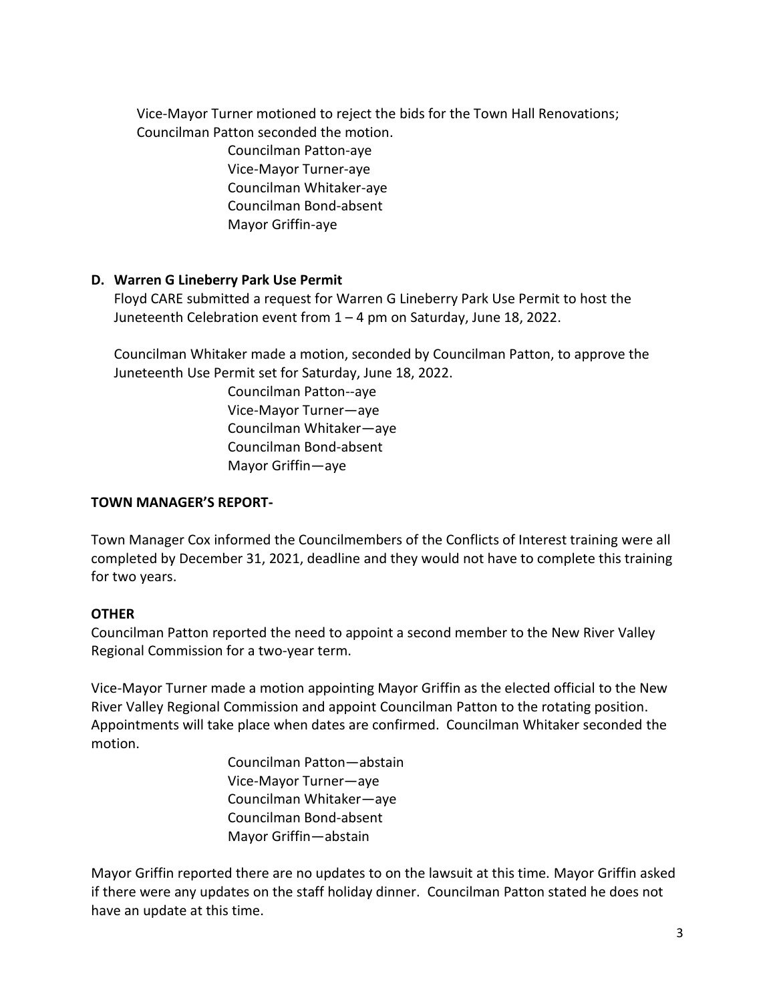Vice-Mayor Turner motioned to reject the bids for the Town Hall Renovations; Councilman Patton seconded the motion.

> Councilman Patton-aye Vice-Mayor Turner-aye Councilman Whitaker-aye Councilman Bond-absent Mayor Griffin-aye

## **D. Warren G Lineberry Park Use Permit**

Floyd CARE submitted a request for Warren G Lineberry Park Use Permit to host the Juneteenth Celebration event from 1 – 4 pm on Saturday, June 18, 2022.

Councilman Whitaker made a motion, seconded by Councilman Patton, to approve the Juneteenth Use Permit set for Saturday, June 18, 2022.

> Councilman Patton--aye Vice-Mayor Turner—aye Councilman Whitaker—aye Councilman Bond-absent Mayor Griffin—aye

### **TOWN MANAGER'S REPORT-**

Town Manager Cox informed the Councilmembers of the Conflicts of Interest training were all completed by December 31, 2021, deadline and they would not have to complete this training for two years.

### **OTHER**

Councilman Patton reported the need to appoint a second member to the New River Valley Regional Commission for a two-year term.

Vice-Mayor Turner made a motion appointing Mayor Griffin as the elected official to the New River Valley Regional Commission and appoint Councilman Patton to the rotating position. Appointments will take place when dates are confirmed. Councilman Whitaker seconded the motion.

> Councilman Patton—abstain Vice-Mayor Turner—aye Councilman Whitaker—aye Councilman Bond-absent Mayor Griffin—abstain

Mayor Griffin reported there are no updates to on the lawsuit at this time. Mayor Griffin asked if there were any updates on the staff holiday dinner. Councilman Patton stated he does not have an update at this time.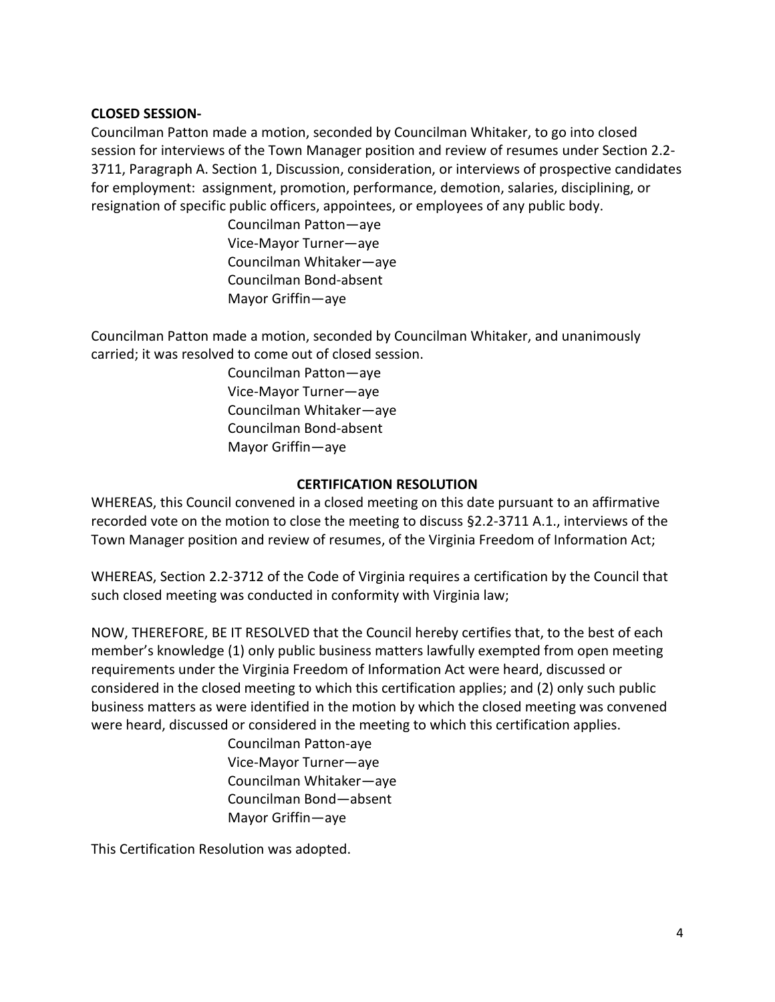### **CLOSED SESSION-**

Councilman Patton made a motion, seconded by Councilman Whitaker, to go into closed session for interviews of the Town Manager position and review of resumes under Section 2.2- 3711, Paragraph A. Section 1, Discussion, consideration, or interviews of prospective candidates for employment: assignment, promotion, performance, demotion, salaries, disciplining, or resignation of specific public officers, appointees, or employees of any public body.

> Councilman Patton—aye Vice-Mayor Turner—aye Councilman Whitaker—aye Councilman Bond-absent Mayor Griffin—aye

Councilman Patton made a motion, seconded by Councilman Whitaker, and unanimously carried; it was resolved to come out of closed session.

> Councilman Patton—aye Vice-Mayor Turner—aye Councilman Whitaker—aye Councilman Bond-absent Mayor Griffin—aye

### **CERTIFICATION RESOLUTION**

WHEREAS, this Council convened in a closed meeting on this date pursuant to an affirmative recorded vote on the motion to close the meeting to discuss §2.2-3711 A.1., interviews of the Town Manager position and review of resumes, of the Virginia Freedom of Information Act;

WHEREAS, Section 2.2-3712 of the Code of Virginia requires a certification by the Council that such closed meeting was conducted in conformity with Virginia law;

NOW, THEREFORE, BE IT RESOLVED that the Council hereby certifies that, to the best of each member's knowledge (1) only public business matters lawfully exempted from open meeting requirements under the Virginia Freedom of Information Act were heard, discussed or considered in the closed meeting to which this certification applies; and (2) only such public business matters as were identified in the motion by which the closed meeting was convened were heard, discussed or considered in the meeting to which this certification applies.

> Councilman Patton-aye Vice-Mayor Turner—aye Councilman Whitaker—aye Councilman Bond—absent Mayor Griffin—aye

This Certification Resolution was adopted.